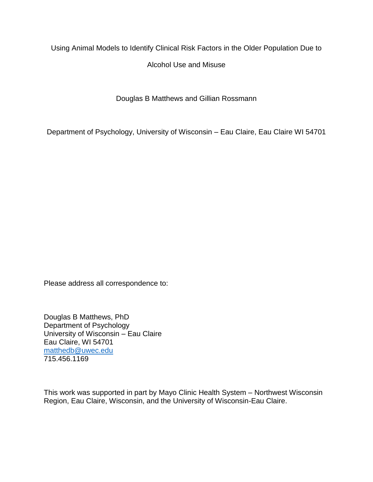Using Animal Models to Identify Clinical Risk Factors in the Older Population Due to

Alcohol Use and Misuse

Douglas B Matthews and Gillian Rossmann

Department of Psychology, University of Wisconsin – Eau Claire, Eau Claire WI 54701

Please address all correspondence to:

Douglas B Matthews, PhD Department of Psychology University of Wisconsin – Eau Claire Eau Claire, WI 54701 [matthedb@uwec.edu](mailto:matthedb@uwec.edu) 715.456.1169

This work was supported in part by Mayo Clinic Health System – Northwest Wisconsin Region, Eau Claire, Wisconsin, and the University of Wisconsin-Eau Claire.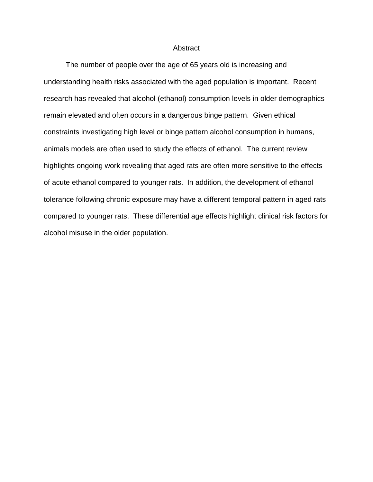## **Abstract**

The number of people over the age of 65 years old is increasing and understanding health risks associated with the aged population is important. Recent research has revealed that alcohol (ethanol) consumption levels in older demographics remain elevated and often occurs in a dangerous binge pattern. Given ethical constraints investigating high level or binge pattern alcohol consumption in humans, animals models are often used to study the effects of ethanol. The current review highlights ongoing work revealing that aged rats are often more sensitive to the effects of acute ethanol compared to younger rats. In addition, the development of ethanol tolerance following chronic exposure may have a different temporal pattern in aged rats compared to younger rats. These differential age effects highlight clinical risk factors for alcohol misuse in the older population.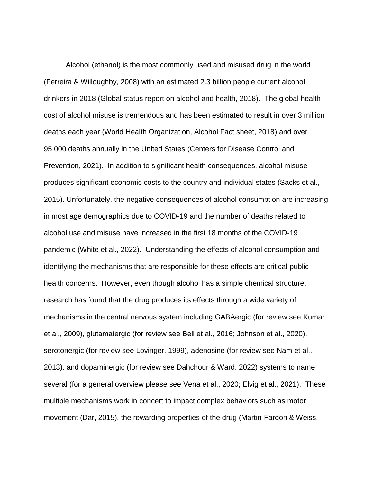Alcohol (ethanol) is the most commonly used and misused drug in the world (Ferreira & Willoughby, 2008) with an estimated 2.3 billion people current alcohol drinkers in 2018 (Global status report on alcohol and health, 2018). The global health cost of alcohol misuse is tremendous and has been estimated to result in over 3 million deaths each year (World Health Organization, Alcohol Fact sheet, 2018) and over 95,000 deaths annually in the United States (Centers for Disease Control and Prevention, 2021). In addition to significant health consequences, alcohol misuse produces significant economic costs to the country and individual states (Sacks et al., 2015). Unfortunately, the negative consequences of alcohol consumption are increasing in most age demographics due to COVID-19 and the number of deaths related to alcohol use and misuse have increased in the first 18 months of the COVID-19 pandemic (White et al., 2022). Understanding the effects of alcohol consumption and identifying the mechanisms that are responsible for these effects are critical public health concerns. However, even though alcohol has a simple chemical structure, research has found that the drug produces its effects through a wide variety of mechanisms in the central nervous system including GABAergic (for review see Kumar et al., 2009), glutamatergic (for review see Bell et al., 2016; Johnson et al., 2020), serotonergic (for review see Lovinger, 1999), adenosine (for review see Nam et al., 2013), and dopaminergic (for review see Dahchour & Ward, 2022) systems to name several (for a general overview please see Vena et al., 2020; Elvig et al., 2021). These multiple mechanisms work in concert to impact complex behaviors such as motor movement (Dar, 2015), the rewarding properties of the drug (Martin-Fardon & Weiss,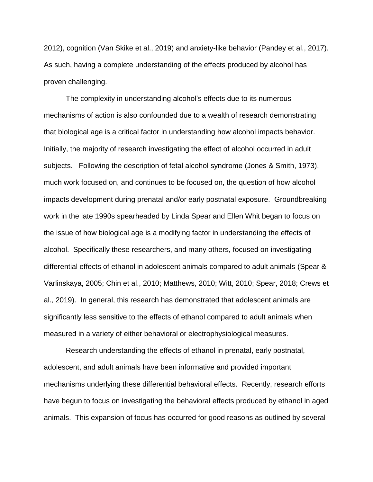2012), cognition (Van Skike et al., 2019) and anxiety-like behavior (Pandey et al., 2017). As such, having a complete understanding of the effects produced by alcohol has proven challenging.

The complexity in understanding alcohol's effects due to its numerous mechanisms of action is also confounded due to a wealth of research demonstrating that biological age is a critical factor in understanding how alcohol impacts behavior. Initially, the majority of research investigating the effect of alcohol occurred in adult subjects. Following the description of fetal alcohol syndrome (Jones & Smith, 1973), much work focused on, and continues to be focused on, the question of how alcohol impacts development during prenatal and/or early postnatal exposure. Groundbreaking work in the late 1990s spearheaded by Linda Spear and Ellen Whit began to focus on the issue of how biological age is a modifying factor in understanding the effects of alcohol. Specifically these researchers, and many others, focused on investigating differential effects of ethanol in adolescent animals compared to adult animals (Spear & Varlinskaya, 2005; Chin et al., 2010; Matthews, 2010; Witt, 2010; Spear, 2018; Crews et al., 2019). In general, this research has demonstrated that adolescent animals are significantly less sensitive to the effects of ethanol compared to adult animals when measured in a variety of either behavioral or electrophysiological measures.

Research understanding the effects of ethanol in prenatal, early postnatal, adolescent, and adult animals have been informative and provided important mechanisms underlying these differential behavioral effects. Recently, research efforts have begun to focus on investigating the behavioral effects produced by ethanol in aged animals. This expansion of focus has occurred for good reasons as outlined by several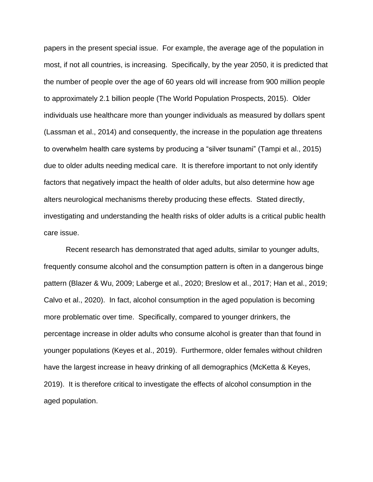papers in the present special issue. For example, the average age of the population in most, if not all countries, is increasing. Specifically, by the year 2050, it is predicted that the number of people over the age of 60 years old will increase from 900 million people to approximately 2.1 billion people (The World Population Prospects, 2015). Older individuals use healthcare more than younger individuals as measured by dollars spent (Lassman et al., 2014) and consequently, the increase in the population age threatens to overwhelm health care systems by producing a "silver tsunami" (Tampi et al., 2015) due to older adults needing medical care. It is therefore important to not only identify factors that negatively impact the health of older adults, but also determine how age alters neurological mechanisms thereby producing these effects. Stated directly, investigating and understanding the health risks of older adults is a critical public health care issue.

Recent research has demonstrated that aged adults, similar to younger adults, frequently consume alcohol and the consumption pattern is often in a dangerous binge pattern (Blazer & Wu, 2009; Laberge et al., 2020; Breslow et al., 2017; Han et al., 2019; Calvo et al., 2020). In fact, alcohol consumption in the aged population is becoming more problematic over time. Specifically, compared to younger drinkers, the percentage increase in older adults who consume alcohol is greater than that found in younger populations (Keyes et al., 2019). Furthermore, older females without children have the largest increase in heavy drinking of all demographics (McKetta & Keyes, 2019). It is therefore critical to investigate the effects of alcohol consumption in the aged population.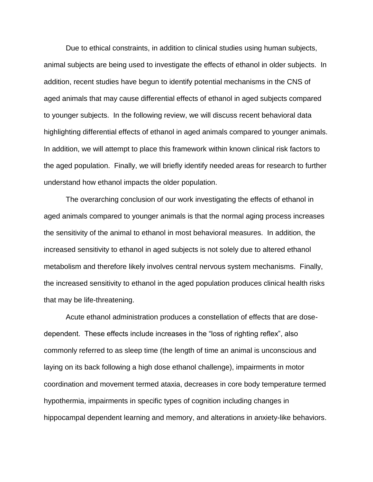Due to ethical constraints, in addition to clinical studies using human subjects, animal subjects are being used to investigate the effects of ethanol in older subjects. In addition, recent studies have begun to identify potential mechanisms in the CNS of aged animals that may cause differential effects of ethanol in aged subjects compared to younger subjects. In the following review, we will discuss recent behavioral data highlighting differential effects of ethanol in aged animals compared to younger animals. In addition, we will attempt to place this framework within known clinical risk factors to the aged population. Finally, we will briefly identify needed areas for research to further understand how ethanol impacts the older population.

The overarching conclusion of our work investigating the effects of ethanol in aged animals compared to younger animals is that the normal aging process increases the sensitivity of the animal to ethanol in most behavioral measures. In addition, the increased sensitivity to ethanol in aged subjects is not solely due to altered ethanol metabolism and therefore likely involves central nervous system mechanisms. Finally, the increased sensitivity to ethanol in the aged population produces clinical health risks that may be life-threatening.

Acute ethanol administration produces a constellation of effects that are dosedependent. These effects include increases in the "loss of righting reflex", also commonly referred to as sleep time (the length of time an animal is unconscious and laying on its back following a high dose ethanol challenge), impairments in motor coordination and movement termed ataxia, decreases in core body temperature termed hypothermia, impairments in specific types of cognition including changes in hippocampal dependent learning and memory, and alterations in anxiety-like behaviors.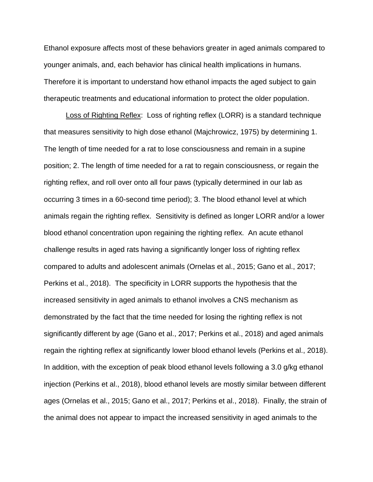Ethanol exposure affects most of these behaviors greater in aged animals compared to younger animals, and, each behavior has clinical health implications in humans. Therefore it is important to understand how ethanol impacts the aged subject to gain therapeutic treatments and educational information to protect the older population.

Loss of Righting Reflex: Loss of righting reflex (LORR) is a standard technique that measures sensitivity to high dose ethanol (Majchrowicz, 1975) by determining 1. The length of time needed for a rat to lose consciousness and remain in a supine position; 2. The length of time needed for a rat to regain consciousness, or regain the righting reflex, and roll over onto all four paws (typically determined in our lab as occurring 3 times in a 60-second time period); 3. The blood ethanol level at which animals regain the righting reflex. Sensitivity is defined as longer LORR and/or a lower blood ethanol concentration upon regaining the righting reflex. An acute ethanol challenge results in aged rats having a significantly longer loss of righting reflex compared to adults and adolescent animals (Ornelas et al., 2015; Gano et al., 2017; Perkins et al., 2018). The specificity in LORR supports the hypothesis that the increased sensitivity in aged animals to ethanol involves a CNS mechanism as demonstrated by the fact that the time needed for losing the righting reflex is not significantly different by age (Gano et al., 2017; Perkins et al., 2018) and aged animals regain the righting reflex at significantly lower blood ethanol levels (Perkins et al., 2018). In addition, with the exception of peak blood ethanol levels following a 3.0 g/kg ethanol injection (Perkins et al., 2018), blood ethanol levels are mostly similar between different ages (Ornelas et al., 2015; Gano et al., 2017; Perkins et al., 2018). Finally, the strain of the animal does not appear to impact the increased sensitivity in aged animals to the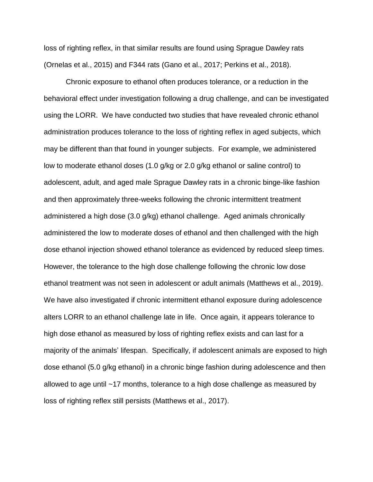loss of righting reflex, in that similar results are found using Sprague Dawley rats (Ornelas et al., 2015) and F344 rats (Gano et al., 2017; Perkins et al., 2018).

Chronic exposure to ethanol often produces tolerance, or a reduction in the behavioral effect under investigation following a drug challenge, and can be investigated using the LORR. We have conducted two studies that have revealed chronic ethanol administration produces tolerance to the loss of righting reflex in aged subjects, which may be different than that found in younger subjects. For example, we administered low to moderate ethanol doses (1.0 g/kg or 2.0 g/kg ethanol or saline control) to adolescent, adult, and aged male Sprague Dawley rats in a chronic binge-like fashion and then approximately three-weeks following the chronic intermittent treatment administered a high dose (3.0 g/kg) ethanol challenge. Aged animals chronically administered the low to moderate doses of ethanol and then challenged with the high dose ethanol injection showed ethanol tolerance as evidenced by reduced sleep times. However, the tolerance to the high dose challenge following the chronic low dose ethanol treatment was not seen in adolescent or adult animals (Matthews et al., 2019). We have also investigated if chronic intermittent ethanol exposure during adolescence alters LORR to an ethanol challenge late in life. Once again, it appears tolerance to high dose ethanol as measured by loss of righting reflex exists and can last for a majority of the animals' lifespan. Specifically, if adolescent animals are exposed to high dose ethanol (5.0 g/kg ethanol) in a chronic binge fashion during adolescence and then allowed to age until ~17 months, tolerance to a high dose challenge as measured by loss of righting reflex still persists (Matthews et al., 2017).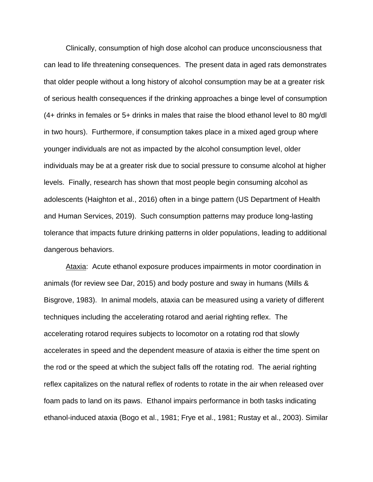Clinically, consumption of high dose alcohol can produce unconsciousness that can lead to life threatening consequences. The present data in aged rats demonstrates that older people without a long history of alcohol consumption may be at a greater risk of serious health consequences if the drinking approaches a binge level of consumption (4+ drinks in females or 5+ drinks in males that raise the blood ethanol level to 80 mg/dl in two hours). Furthermore, if consumption takes place in a mixed aged group where younger individuals are not as impacted by the alcohol consumption level, older individuals may be at a greater risk due to social pressure to consume alcohol at higher levels. Finally, research has shown that most people begin consuming alcohol as adolescents (Haighton et al., 2016) often in a binge pattern (US Department of Health and Human Services, 2019). Such consumption patterns may produce long-lasting tolerance that impacts future drinking patterns in older populations, leading to additional dangerous behaviors.

Ataxia: Acute ethanol exposure produces impairments in motor coordination in animals (for review see Dar, 2015) and body posture and sway in humans (Mills & Bisgrove, 1983). In animal models, ataxia can be measured using a variety of different techniques including the accelerating rotarod and aerial righting reflex. The accelerating rotarod requires subjects to locomotor on a rotating rod that slowly accelerates in speed and the dependent measure of ataxia is either the time spent on the rod or the speed at which the subject falls off the rotating rod. The aerial righting reflex capitalizes on the natural reflex of rodents to rotate in the air when released over foam pads to land on its paws. Ethanol impairs performance in both tasks indicating ethanol-induced ataxia (Bogo et al., 1981; Frye et al., 1981; Rustay et al., 2003). Similar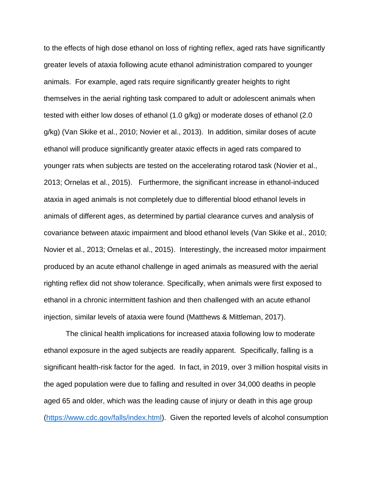to the effects of high dose ethanol on loss of righting reflex, aged rats have significantly greater levels of ataxia following acute ethanol administration compared to younger animals. For example, aged rats require significantly greater heights to right themselves in the aerial righting task compared to adult or adolescent animals when tested with either low doses of ethanol (1.0 g/kg) or moderate doses of ethanol (2.0 g/kg) (Van Skike et al., 2010; Novier et al., 2013). In addition, similar doses of acute ethanol will produce significantly greater ataxic effects in aged rats compared to younger rats when subjects are tested on the accelerating rotarod task (Novier et al., 2013; Ornelas et al., 2015).Furthermore, the significant increase in ethanol-induced ataxia in aged animals is not completely due to differential blood ethanol levels in animals of different ages, as determined by partial clearance curves and analysis of covariance between ataxic impairment and blood ethanol levels (Van Skike et al., 2010; Novier et al., 2013; Ornelas et al., 2015). Interestingly, the increased motor impairment produced by an acute ethanol challenge in aged animals as measured with the aerial righting reflex did not show tolerance. Specifically, when animals were first exposed to ethanol in a chronic intermittent fashion and then challenged with an acute ethanol injection, similar levels of ataxia were found (Matthews & Mittleman, 2017).

The clinical health implications for increased ataxia following low to moderate ethanol exposure in the aged subjects are readily apparent. Specifically, falling is a significant health-risk factor for the aged. In fact, in 2019, over 3 million hospital visits in the aged population were due to falling and resulted in over 34,000 deaths in people aged 65 and older, which was the leading cause of injury or death in this age group [\(https://www.cdc.gov/falls/index.html\)](https://www.cdc.gov/falls/index.html). Given the reported levels of alcohol consumption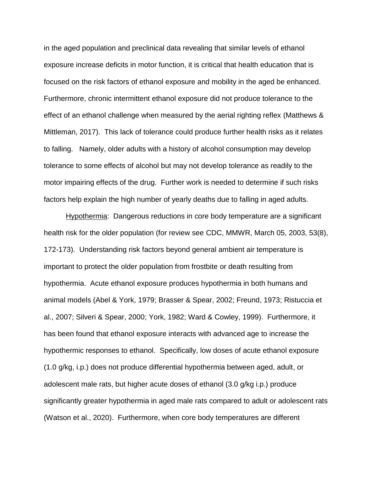in the aged population and preclinical data revealing that similar levels of ethanol exposure increase deficits in motor function, it is critical that health education that is focused on the risk factors of ethanol exposure and mobility in the aged be enhanced. Furthermore, chronic intermittent ethanol exposure did not produce tolerance to the effect of an ethanol challenge when measured by the aerial righting reflex (Matthews & Mittleman, 2017). This lack of tolerance could produce further health risks as it relates to falling. Namely, older adults with a history of alcohol consumption may develop tolerance to some effects of alcohol but may not develop tolerance as readily to the motor impairing effects of the drug. Further work is needed to determine if such risks factors help explain the high number of yearly deaths due to falling in aged adults.

Hypothermia: Dangerous reductions in core body temperature are a significant health risk for the older population (for review see CDC, MMWR, March 05, 2003, 53(8), 172-173). Understanding risk factors beyond general ambient air temperature is important to protect the older population from frostbite or death resulting from hypothermia. Acute ethanol exposure produces hypothermia in both humans and animal models (Abel & York, 1979; Brasser & Spear, 2002; Freund, 1973; Ristuccia et al., 2007; Silveri & Spear, 2000; York, 1982; Ward & Cowley, 1999). Furthermore, it has been found that ethanol exposure interacts with advanced age to increase the hypothermic responses to ethanol. Specifically, low doses of acute ethanol exposure (1.0 g/kg, i.p.) does not produce differential hypothermia between aged, adult, or adolescent male rats, but higher acute doses of ethanol (3.0 g/kg i.p.) produce significantly greater hypothermia in aged male rats compared to adult or adolescent rats (Watson et al., 2020). Furthermore, when core body temperatures are different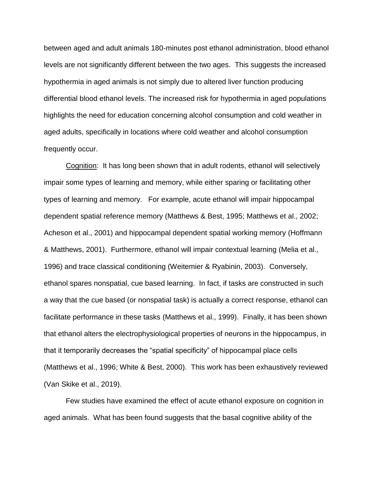between aged and adult animals 180-minutes post ethanol administration, blood ethanol levels are not significantly different between the two ages. This suggests the increased hypothermia in aged animals is not simply due to altered liver function producing differential blood ethanol levels. The increased risk for hypothermia in aged populations highlights the need for education concerning alcohol consumption and cold weather in aged adults, specifically in locations where cold weather and alcohol consumption frequently occur.

Cognition: It has long been shown that in adult rodents, ethanol will selectively impair some types of learning and memory, while either sparing or facilitating other types of learning and memory. For example, acute ethanol will impair hippocampal dependent spatial reference memory (Matthews & Best, 1995; Matthews et al., 2002; Acheson et al., 2001) and hippocampal dependent spatial working memory (Hoffmann & Matthews, 2001). Furthermore, ethanol will impair contextual learning (Melia et al., 1996) and trace classical conditioning (Weitemier & Ryabinin, 2003). Conversely, ethanol spares nonspatial, cue based learning. In fact, if tasks are constructed in such a way that the cue based (or nonspatial task) is actually a correct response, ethanol can facilitate performance in these tasks (Matthews et al., 1999). Finally, it has been shown that ethanol alters the electrophysiological properties of neurons in the hippocampus, in that it temporarily decreases the "spatial specificity" of hippocampal place cells (Matthews et al., 1996; White & Best, 2000). This work has been exhaustively reviewed (Van Skike et al., 2019).

Few studies have examined the effect of acute ethanol exposure on cognition in aged animals. What has been found suggests that the basal cognitive ability of the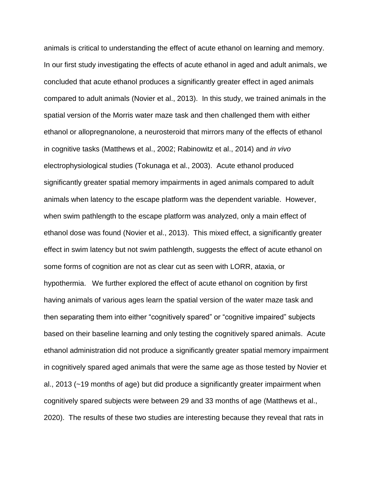animals is critical to understanding the effect of acute ethanol on learning and memory. In our first study investigating the effects of acute ethanol in aged and adult animals, we concluded that acute ethanol produces a significantly greater effect in aged animals compared to adult animals (Novier et al., 2013). In this study, we trained animals in the spatial version of the Morris water maze task and then challenged them with either ethanol or allopregnanolone, a neurosteroid that mirrors many of the effects of ethanol in cognitive tasks (Matthews et al., 2002; Rabinowitz et al., 2014) and *in vivo* electrophysiological studies (Tokunaga et al., 2003). Acute ethanol produced significantly greater spatial memory impairments in aged animals compared to adult animals when latency to the escape platform was the dependent variable. However, when swim pathlength to the escape platform was analyzed, only a main effect of ethanol dose was found (Novier et al., 2013). This mixed effect, a significantly greater effect in swim latency but not swim pathlength, suggests the effect of acute ethanol on some forms of cognition are not as clear cut as seen with LORR, ataxia, or hypothermia. We further explored the effect of acute ethanol on cognition by first having animals of various ages learn the spatial version of the water maze task and then separating them into either "cognitively spared" or "cognitive impaired" subjects based on their baseline learning and only testing the cognitively spared animals. Acute ethanol administration did not produce a significantly greater spatial memory impairment in cognitively spared aged animals that were the same age as those tested by Novier et al., 2013 (~19 months of age) but did produce a significantly greater impairment when cognitively spared subjects were between 29 and 33 months of age (Matthews et al., 2020). The results of these two studies are interesting because they reveal that rats in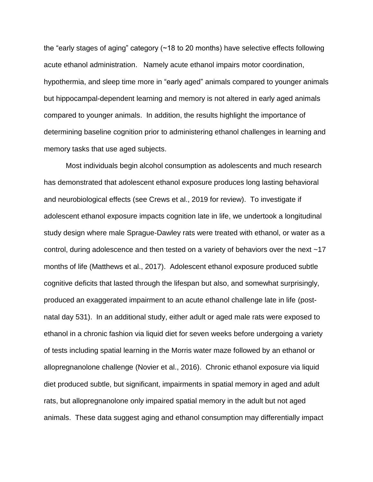the "early stages of aging" category (~18 to 20 months) have selective effects following acute ethanol administration. Namely acute ethanol impairs motor coordination, hypothermia, and sleep time more in "early aged" animals compared to younger animals but hippocampal-dependent learning and memory is not altered in early aged animals compared to younger animals. In addition, the results highlight the importance of determining baseline cognition prior to administering ethanol challenges in learning and memory tasks that use aged subjects.

Most individuals begin alcohol consumption as adolescents and much research has demonstrated that adolescent ethanol exposure produces long lasting behavioral and neurobiological effects (see Crews et al., 2019 for review). To investigate if adolescent ethanol exposure impacts cognition late in life, we undertook a longitudinal study design where male Sprague-Dawley rats were treated with ethanol, or water as a control, during adolescence and then tested on a variety of behaviors over the next ~17 months of life (Matthews et al., 2017). Adolescent ethanol exposure produced subtle cognitive deficits that lasted through the lifespan but also, and somewhat surprisingly, produced an exaggerated impairment to an acute ethanol challenge late in life (postnatal day 531). In an additional study, either adult or aged male rats were exposed to ethanol in a chronic fashion via liquid diet for seven weeks before undergoing a variety of tests including spatial learning in the Morris water maze followed by an ethanol or allopregnanolone challenge (Novier et al., 2016). Chronic ethanol exposure via liquid diet produced subtle, but significant, impairments in spatial memory in aged and adult rats, but allopregnanolone only impaired spatial memory in the adult but not aged animals. These data suggest aging and ethanol consumption may differentially impact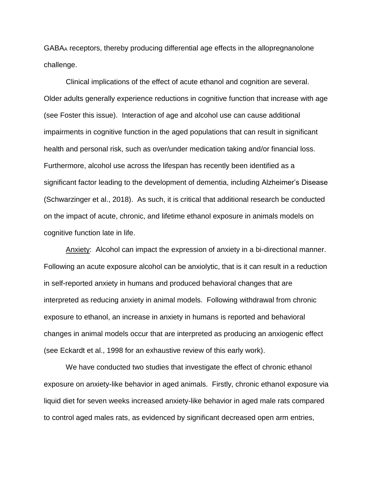GABA<sup>A</sup> receptors, thereby producing differential age effects in the allopregnanolone challenge.

Clinical implications of the effect of acute ethanol and cognition are several. Older adults generally experience reductions in cognitive function that increase with age (see Foster this issue). Interaction of age and alcohol use can cause additional impairments in cognitive function in the aged populations that can result in significant health and personal risk, such as over/under medication taking and/or financial loss. Furthermore, alcohol use across the lifespan has recently been identified as a significant factor leading to the development of dementia, including Alzheimer's Disease (Schwarzinger et al., 2018). As such, it is critical that additional research be conducted on the impact of acute, chronic, and lifetime ethanol exposure in animals models on cognitive function late in life.

Anxiety: Alcohol can impact the expression of anxiety in a bi-directional manner. Following an acute exposure alcohol can be anxiolytic, that is it can result in a reduction in self-reported anxiety in humans and produced behavioral changes that are interpreted as reducing anxiety in animal models. Following withdrawal from chronic exposure to ethanol, an increase in anxiety in humans is reported and behavioral changes in animal models occur that are interpreted as producing an anxiogenic effect (see Eckardt et al., 1998 for an exhaustive review of this early work).

We have conducted two studies that investigate the effect of chronic ethanol exposure on anxiety-like behavior in aged animals. Firstly, chronic ethanol exposure via liquid diet for seven weeks increased anxiety-like behavior in aged male rats compared to control aged males rats, as evidenced by significant decreased open arm entries,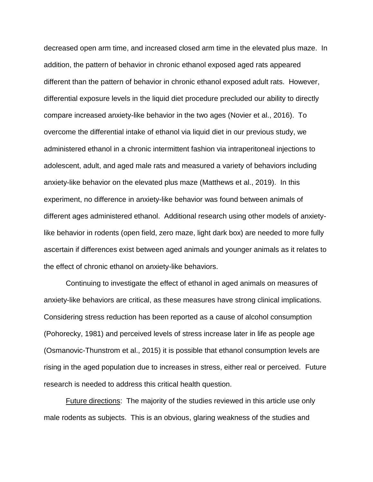decreased open arm time, and increased closed arm time in the elevated plus maze. In addition, the pattern of behavior in chronic ethanol exposed aged rats appeared different than the pattern of behavior in chronic ethanol exposed adult rats. However, differential exposure levels in the liquid diet procedure precluded our ability to directly compare increased anxiety-like behavior in the two ages (Novier et al., 2016). To overcome the differential intake of ethanol via liquid diet in our previous study, we administered ethanol in a chronic intermittent fashion via intraperitoneal injections to adolescent, adult, and aged male rats and measured a variety of behaviors including anxiety-like behavior on the elevated plus maze (Matthews et al., 2019). In this experiment, no difference in anxiety-like behavior was found between animals of different ages administered ethanol. Additional research using other models of anxietylike behavior in rodents (open field, zero maze, light dark box) are needed to more fully ascertain if differences exist between aged animals and younger animals as it relates to the effect of chronic ethanol on anxiety-like behaviors.

Continuing to investigate the effect of ethanol in aged animals on measures of anxiety-like behaviors are critical, as these measures have strong clinical implications. Considering stress reduction has been reported as a cause of alcohol consumption (Pohorecky, 1981) and perceived levels of stress increase later in life as people age (Osmanovic-Thunstrom et al., 2015) it is possible that ethanol consumption levels are rising in the aged population due to increases in stress, either real or perceived. Future research is needed to address this critical health question.

Future directions: The majority of the studies reviewed in this article use only male rodents as subjects. This is an obvious, glaring weakness of the studies and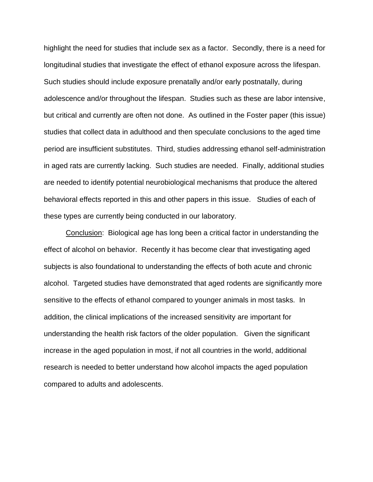highlight the need for studies that include sex as a factor. Secondly, there is a need for longitudinal studies that investigate the effect of ethanol exposure across the lifespan. Such studies should include exposure prenatally and/or early postnatally, during adolescence and/or throughout the lifespan. Studies such as these are labor intensive, but critical and currently are often not done. As outlined in the Foster paper (this issue) studies that collect data in adulthood and then speculate conclusions to the aged time period are insufficient substitutes. Third, studies addressing ethanol self-administration in aged rats are currently lacking. Such studies are needed. Finally, additional studies are needed to identify potential neurobiological mechanisms that produce the altered behavioral effects reported in this and other papers in this issue. Studies of each of these types are currently being conducted in our laboratory.

Conclusion: Biological age has long been a critical factor in understanding the effect of alcohol on behavior. Recently it has become clear that investigating aged subjects is also foundational to understanding the effects of both acute and chronic alcohol. Targeted studies have demonstrated that aged rodents are significantly more sensitive to the effects of ethanol compared to younger animals in most tasks. In addition, the clinical implications of the increased sensitivity are important for understanding the health risk factors of the older population. Given the significant increase in the aged population in most, if not all countries in the world, additional research is needed to better understand how alcohol impacts the aged population compared to adults and adolescents.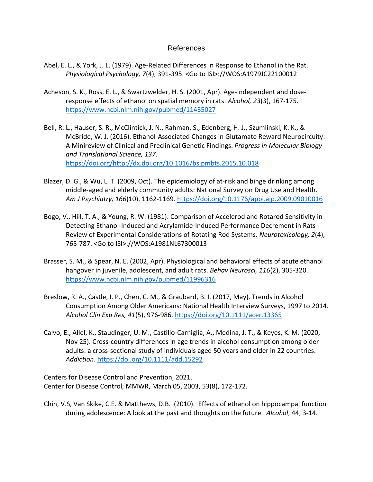## References

- Abel, E. L., & York, J. L. (1979). Age-Related Differences in Response to Ethanol in the Rat. *Physiological Psychology, 7*(4), 391-395. <Go to ISI>://WOS:A1979JC22100012
- Acheson, S. K., Ross, E. L., & Swartzwelder, H. S. (2001, Apr). Age-independent and doseresponse effects of ethanol on spatial memory in rats. *Alcohol, 23*(3), 167-175. <https://www.ncbi.nlm.nih.gov/pubmed/11435027>
- Bell, R. L., Hauser, S. R., McClintick, J. N., Rahman, S., Edenberg, H. J., Szumlinski, K. K., & McBride, W. J. (2016). Ethanol-Associated Changes in Glutamate Reward Neurocircuity: A Minireview of Clinical and Preclinical Genetic Findings. *Progress in Molecular Biology and Translational Science, 137*. [https://doi.org/http://dx.doi.org/10.1016/bs.pmbts.2015.10.018](https://doi.org/http:/dx.doi.org/10.1016/bs.pmbts.2015.10.018)
- Blazer, D. G., & Wu, L. T. (2009, Oct). The epidemiology of at-risk and binge drinking among middle-aged and elderly community adults: National Survey on Drug Use and Health. *Am J Psychiatry, 166*(10), 1162-1169[. https://doi.org/10.1176/appi.ajp.2009.09010016](https://doi.org/10.1176/appi.ajp.2009.09010016)
- Bogo, V., Hill, T. A., & Young, R. W. (1981). Comparison of Accelerod and Rotarod Sensitivity in Detecting Ethanol-Induced and Acrylamide-Induced Performance Decrement in Rats - Review of Experimental Considerations of Rotating Rod Systems. *Neurotoxicology, 2*(4), 765-787. <Go to ISI>://WOS:A1981NL67300013
- Brasser, S. M., & Spear, N. E. (2002, Apr). Physiological and behavioral effects of acute ethanol hangover in juvenile, adolescent, and adult rats. *Behav Neurosci, 116*(2), 305-320. <https://www.ncbi.nlm.nih.gov/pubmed/11996316>
- Breslow, R. A., Castle, I. P., Chen, C. M., & Graubard, B. I. (2017, May). Trends in Alcohol Consumption Among Older Americans: National Health Interview Surveys, 1997 to 2014. *Alcohol Clin Exp Res, 41*(5), 976-986.<https://doi.org/10.1111/acer.13365>
- Calvo, E., Allel, K., Staudinger, U. M., Castillo-Carniglia, A., Medina, J. T., & Keyes, K. M. (2020, Nov 25). Cross-country differences in age trends in alcohol consumption among older adults: a cross-sectional study of individuals aged 50 years and older in 22 countries. *Addiction*.<https://doi.org/10.1111/add.15292>

Centers for Disease Control and Prevention, 2021. Center for Disease Control, MMWR, March 05, 2003, 53(8), 172-172.

Chin, V.S, Van Skike, C.E. & Matthews, D.B. (2010). Effects of ethanol on hippocampal function during adolescence: A look at the past and thoughts on the future. *Alcohol*, 44, 3-14.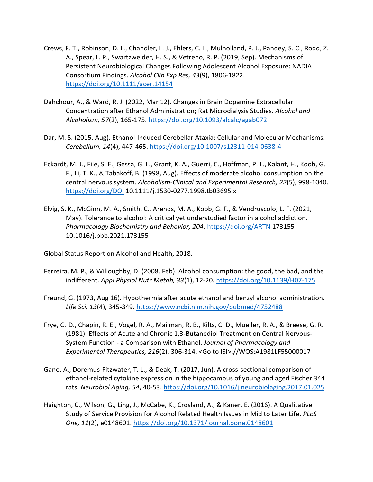- Crews, F. T., Robinson, D. L., Chandler, L. J., Ehlers, C. L., Mulholland, P. J., Pandey, S. C., Rodd, Z. A., Spear, L. P., Swartzwelder, H. S., & Vetreno, R. P. (2019, Sep). Mechanisms of Persistent Neurobiological Changes Following Adolescent Alcohol Exposure: NADIA Consortium Findings. *Alcohol Clin Exp Res, 43*(9), 1806-1822. <https://doi.org/10.1111/acer.14154>
- Dahchour, A., & Ward, R. J. (2022, Mar 12). Changes in Brain Dopamine Extracellular Concentration after Ethanol Administration; Rat Microdialysis Studies. *Alcohol and Alcoholism, 57*(2), 165-175[. https://doi.org/10.1093/alcalc/agab072](https://doi.org/10.1093/alcalc/agab072)
- Dar, M. S. (2015, Aug). Ethanol-Induced Cerebellar Ataxia: Cellular and Molecular Mechanisms. *Cerebellum, 14*(4), 447-465.<https://doi.org/10.1007/s12311-014-0638-4>
- Eckardt, M. J., File, S. E., Gessa, G. L., Grant, K. A., Guerri, C., Hoffman, P. L., Kalant, H., Koob, G. F., Li, T. K., & Tabakoff, B. (1998, Aug). Effects of moderate alcohol consumption on the central nervous system. *Alcoholism-Clinical and Experimental Research, 22*(5), 998-1040. <https://doi.org/DOI> 10.1111/j.1530-0277.1998.tb03695.x
- Elvig, S. K., McGinn, M. A., Smith, C., Arends, M. A., Koob, G. F., & Vendruscolo, L. F. (2021, May). Tolerance to alcohol: A critical yet understudied factor in alcohol addiction. *Pharmacology Biochemistry and Behavior, 204*.<https://doi.org/ARTN> 173155 10.1016/j.pbb.2021.173155
- Global Status Report on Alcohol and Health, 2018.
- Ferreira, M. P., & Willoughby, D. (2008, Feb). Alcohol consumption: the good, the bad, and the indifferent. *Appl Physiol Nutr Metab, 33*(1), 12-20.<https://doi.org/10.1139/H07-175>
- Freund, G. (1973, Aug 16). Hypothermia after acute ethanol and benzyl alcohol administration. *Life Sci, 13*(4), 345-349.<https://www.ncbi.nlm.nih.gov/pubmed/4752488>
- Frye, G. D., Chapin, R. E., Vogel, R. A., Mailman, R. B., Kilts, C. D., Mueller, R. A., & Breese, G. R. (1981). Effects of Acute and Chronic 1,3-Butanediol Treatment on Central Nervous-System Function - a Comparison with Ethanol. *Journal of Pharmacology and Experimental Therapeutics, 216*(2), 306-314. <Go to ISI>://WOS:A1981LF55000017
- Gano, A., Doremus-Fitzwater, T. L., & Deak, T. (2017, Jun). A cross-sectional comparison of ethanol-related cytokine expression in the hippocampus of young and aged Fischer 344 rats. *Neurobiol Aging, 54*, 40-53.<https://doi.org/10.1016/j.neurobiolaging.2017.01.025>
- Haighton, C., Wilson, G., Ling, J., McCabe, K., Crosland, A., & Kaner, E. (2016). A Qualitative Study of Service Provision for Alcohol Related Health Issues in Mid to Later Life. *PLoS One, 11*(2), e0148601.<https://doi.org/10.1371/journal.pone.0148601>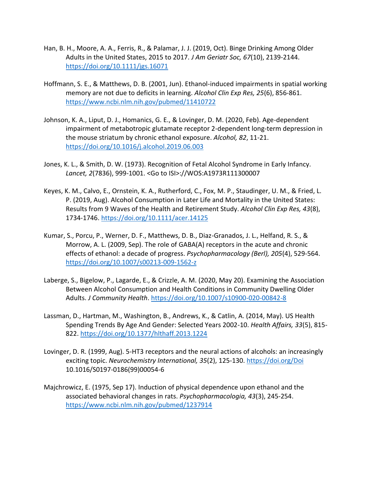- Han, B. H., Moore, A. A., Ferris, R., & Palamar, J. J. (2019, Oct). Binge Drinking Among Older Adults in the United States, 2015 to 2017. *J Am Geriatr Soc, 67*(10), 2139-2144. <https://doi.org/10.1111/jgs.16071>
- Hoffmann, S. E., & Matthews, D. B. (2001, Jun). Ethanol-induced impairments in spatial working memory are not due to deficits in learning. *Alcohol Clin Exp Res, 25*(6), 856-861. <https://www.ncbi.nlm.nih.gov/pubmed/11410722>
- Johnson, K. A., Liput, D. J., Homanics, G. E., & Lovinger, D. M. (2020, Feb). Age-dependent impairment of metabotropic glutamate receptor 2-dependent long-term depression in the mouse striatum by chronic ethanol exposure. *Alcohol, 82*, 11-21. <https://doi.org/10.1016/j.alcohol.2019.06.003>
- Jones, K. L., & Smith, D. W. (1973). Recognition of Fetal Alcohol Syndrome in Early Infancy. *Lancet, 2*(7836), 999-1001. <Go to ISI>://WOS:A1973R111300007
- Keyes, K. M., Calvo, E., Ornstein, K. A., Rutherford, C., Fox, M. P., Staudinger, U. M., & Fried, L. P. (2019, Aug). Alcohol Consumption in Later Life and Mortality in the United States: Results from 9 Waves of the Health and Retirement Study. *Alcohol Clin Exp Res, 43*(8), 1734-1746.<https://doi.org/10.1111/acer.14125>
- Kumar, S., Porcu, P., Werner, D. F., Matthews, D. B., Diaz-Granados, J. L., Helfand, R. S., & Morrow, A. L. (2009, Sep). The role of GABA(A) receptors in the acute and chronic effects of ethanol: a decade of progress. *Psychopharmacology (Berl), 205*(4), 529-564. <https://doi.org/10.1007/s00213-009-1562-z>
- Laberge, S., Bigelow, P., Lagarde, E., & Crizzle, A. M. (2020, May 20). Examining the Association Between Alcohol Consumption and Health Conditions in Community Dwelling Older Adults. *J Community Health*.<https://doi.org/10.1007/s10900-020-00842-8>
- Lassman, D., Hartman, M., Washington, B., Andrews, K., & Catlin, A. (2014, May). US Health Spending Trends By Age And Gender: Selected Years 2002-10. *Health Affairs, 33*(5), 815- 822.<https://doi.org/10.1377/hlthaff.2013.1224>
- Lovinger, D. R. (1999, Aug). 5-HT3 receptors and the neural actions of alcohols: an increasingly exciting topic. *Neurochemistry International, 35*(2), 125-130.<https://doi.org/Doi> 10.1016/S0197-0186(99)00054-6
- Majchrowicz, E. (1975, Sep 17). Induction of physical dependence upon ethanol and the associated behavioral changes in rats. *Psychopharmacologia, 43*(3), 245-254. <https://www.ncbi.nlm.nih.gov/pubmed/1237914>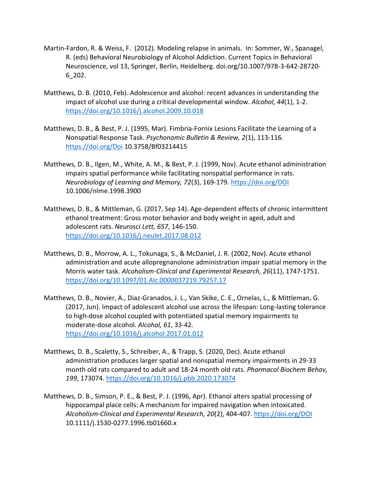- Martin-Fardon, R. & Weiss, F. (2012). Modeling relapse in animals. In: Sommer, W., Spanagel, R. (eds) Behavioral Neurobiology of Alcohol Addiction. Current Topics in Behavioral Neuroscience, vol 13, Springer, Berlin, Heidelberg. doi.org/10.1007/978-3-642-28720- 6\_202.
- Matthews, D. B. (2010, Feb). Adolescence and alcohol: recent advances in understanding the impact of alcohol use during a critical developmental window. *Alcohol, 44*(1), 1-2. <https://doi.org/10.1016/j.alcohol.2009.10.018>
- Matthews, D. B., & Best, P. J. (1995, Mar). Fimbria-Fornix Lesions Facilitate the Learning of a Nonspatial Response Task. *Psychonomic Bulletin & Review, 2*(1), 113-116. <https://doi.org/Doi> 10.3758/Bf03214415
- Matthews, D. B., Ilgen, M., White, A. M., & Best, P. J. (1999, Nov). Acute ethanol administration impairs spatial performance while facilitating nonspatial performance in rats. *Neurobiology of Learning and Memory, 72*(3), 169-179.<https://doi.org/DOI> 10.1006/nlme.1998.3900
- Matthews, D. B., & Mittleman, G. (2017, Sep 14). Age-dependent effects of chronic intermittent ethanol treatment: Gross motor behavior and body weight in aged, adult and adolescent rats. *Neurosci Lett, 657*, 146-150. <https://doi.org/10.1016/j.neulet.2017.08.012>
- Matthews, D. B., Morrow, A. L., Tokunaga, S., & McDaniel, J. R. (2002, Nov). Acute ethanol administration and acute allopregnanolone administration impair spatial memory in the Morris water task. *Alcoholism-Clinical and Experimental Research, 26*(11), 1747-1751. <https://doi.org/10.1097/01.Alc.0000037219.79257.17>
- Matthews, D. B., Novier, A., Diaz-Granados, J. L., Van Skike, C. E., Ornelas, L., & Mittleman, G. (2017, Jun). Impact of adolescent alcohol use across the lifespan: Long-lasting tolerance to high-dose alcohol coupled with potentiated spatial memory impairments to moderate-dose alcohol. *Alcohol, 61*, 33-42. <https://doi.org/10.1016/j.alcohol.2017.01.012>
- Matthews, D. B., Scaletty, S., Schreiber, A., & Trapp, S. (2020, Dec). Acute ethanol administration produces larger spatial and nonspatial memory impairments in 29-33 month old rats compared to adult and 18-24 month old rats. *Pharmacol Biochem Behav, 199*, 173074.<https://doi.org/10.1016/j.pbb.2020.173074>
- Matthews, D. B., Simson, P. E., & Best, P. J. (1996, Apr). Ethanol alters spatial processing of hippocampal place cells: A mechanism for impaired navigation when intoxicated. *Alcoholism-Clinical and Experimental Research, 20*(2), 404-407.<https://doi.org/DOI> 10.1111/j.1530-0277.1996.tb01660.x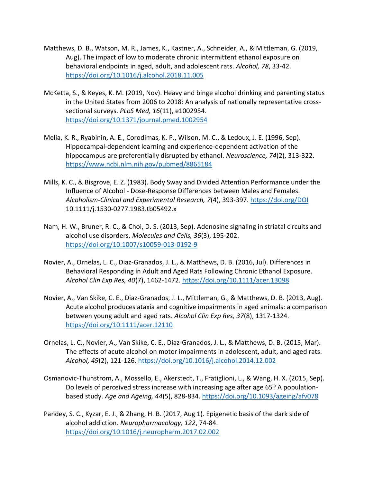- Matthews, D. B., Watson, M. R., James, K., Kastner, A., Schneider, A., & Mittleman, G. (2019, Aug). The impact of low to moderate chronic intermittent ethanol exposure on behavioral endpoints in aged, adult, and adolescent rats. *Alcohol, 78*, 33-42. <https://doi.org/10.1016/j.alcohol.2018.11.005>
- McKetta, S., & Keyes, K. M. (2019, Nov). Heavy and binge alcohol drinking and parenting status in the United States from 2006 to 2018: An analysis of nationally representative crosssectional surveys. *PLoS Med, 16*(11), e1002954. <https://doi.org/10.1371/journal.pmed.1002954>
- Melia, K. R., Ryabinin, A. E., Corodimas, K. P., Wilson, M. C., & Ledoux, J. E. (1996, Sep). Hippocampal-dependent learning and experience-dependent activation of the hippocampus are preferentially disrupted by ethanol. *Neuroscience, 74*(2), 313-322. <https://www.ncbi.nlm.nih.gov/pubmed/8865184>
- Mills, K. C., & Bisgrove, E. Z. (1983). Body Sway and Divided Attention Performance under the Influence of Alcohol - Dose-Response Differences between Males and Females. *Alcoholism-Clinical and Experimental Research, 7*(4), 393-397.<https://doi.org/DOI> 10.1111/j.1530-0277.1983.tb05492.x
- Nam, H. W., Bruner, R. C., & Choi, D. S. (2013, Sep). Adenosine signaling in striatal circuits and alcohol use disorders. *Molecules and Cells, 36*(3), 195-202. <https://doi.org/10.1007/s10059-013-0192-9>
- Novier, A., Ornelas, L. C., Diaz-Granados, J. L., & Matthews, D. B. (2016, Jul). Differences in Behavioral Responding in Adult and Aged Rats Following Chronic Ethanol Exposure. *Alcohol Clin Exp Res, 40*(7), 1462-1472.<https://doi.org/10.1111/acer.13098>
- Novier, A., Van Skike, C. E., Diaz-Granados, J. L., Mittleman, G., & Matthews, D. B. (2013, Aug). Acute alcohol produces ataxia and cognitive impairments in aged animals: a comparison between young adult and aged rats. *Alcohol Clin Exp Res, 37*(8), 1317-1324. <https://doi.org/10.1111/acer.12110>
- Ornelas, L. C., Novier, A., Van Skike, C. E., Diaz-Granados, J. L., & Matthews, D. B. (2015, Mar). The effects of acute alcohol on motor impairments in adolescent, adult, and aged rats. *Alcohol, 49*(2), 121-126.<https://doi.org/10.1016/j.alcohol.2014.12.002>
- Osmanovic-Thunstrom, A., Mossello, E., Akerstedt, T., Fratiglioni, L., & Wang, H. X. (2015, Sep). Do levels of perceived stress increase with increasing age after age 65? A populationbased study. *Age and Ageing, 44*(5), 828-834.<https://doi.org/10.1093/ageing/afv078>
- Pandey, S. C., Kyzar, E. J., & Zhang, H. B. (2017, Aug 1). Epigenetic basis of the dark side of alcohol addiction. *Neuropharmacology, 122*, 74-84. <https://doi.org/10.1016/j.neuropharm.2017.02.002>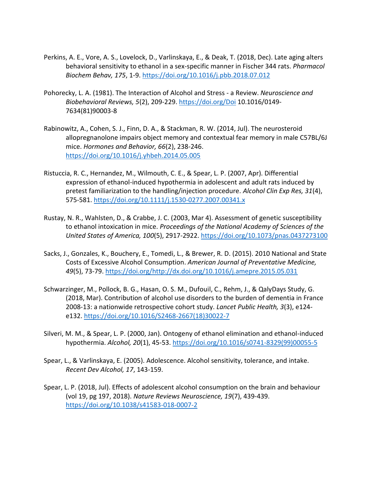- Perkins, A. E., Vore, A. S., Lovelock, D., Varlinskaya, E., & Deak, T. (2018, Dec). Late aging alters behavioral sensitivity to ethanol in a sex-specific manner in Fischer 344 rats. *Pharmacol Biochem Behav, 175*, 1-9[. https://doi.org/10.1016/j.pbb.2018.07.012](https://doi.org/10.1016/j.pbb.2018.07.012)
- Pohorecky, L. A. (1981). The Interaction of Alcohol and Stress a Review. *Neuroscience and Biobehavioral Reviews, 5*(2), 209-229.<https://doi.org/Doi> 10.1016/0149- 7634(81)90003-8
- Rabinowitz, A., Cohen, S. J., Finn, D. A., & Stackman, R. W. (2014, Jul). The neurosteroid allopregnanolone impairs object memory and contextual fear memory in male C57BL/6J mice. *Hormones and Behavior, 66*(2), 238-246. <https://doi.org/10.1016/j.yhbeh.2014.05.005>
- Ristuccia, R. C., Hernandez, M., Wilmouth, C. E., & Spear, L. P. (2007, Apr). Differential expression of ethanol-induced hypothermia in adolescent and adult rats induced by pretest familiarization to the handling/injection procedure. *Alcohol Clin Exp Res, 31*(4), 575-581.<https://doi.org/10.1111/j.1530-0277.2007.00341.x>
- Rustay, N. R., Wahlsten, D., & Crabbe, J. C. (2003, Mar 4). Assessment of genetic susceptibility to ethanol intoxication in mice. *Proceedings of the National Academy of Sciences of the United States of America, 100*(5), 2917-2922.<https://doi.org/10.1073/pnas.0437273100>
- Sacks, J., Gonzales, K., Bouchery, E., Tomedi, L., & Brewer, R. D. (2015). 2010 National and State Costs of Excessive Alcohol Consumption. *American Journal of Preventative Medicine, 49*(5), 73-79. [https://doi.org/http://dx.doi.org/10.1016/j.amepre.2015.05.031](https://doi.org/http:/dx.doi.org/10.1016/j.amepre.2015.05.031)
- Schwarzinger, M., Pollock, B. G., Hasan, O. S. M., Dufouil, C., Rehm, J., & QalyDays Study, G. (2018, Mar). Contribution of alcohol use disorders to the burden of dementia in France 2008-13: a nationwide retrospective cohort study. *Lancet Public Health, 3*(3), e124 e132. [https://doi.org/10.1016/S2468-2667\(18\)30022-7](https://doi.org/10.1016/S2468-2667(18)30022-7)
- Silveri, M. M., & Spear, L. P. (2000, Jan). Ontogeny of ethanol elimination and ethanol-induced hypothermia. *Alcohol, 20*(1), 45-53. [https://doi.org/10.1016/s0741-8329\(99\)00055-5](https://doi.org/10.1016/s0741-8329(99)00055-5)
- Spear, L., & Varlinskaya, E. (2005). Adolescence. Alcohol sensitivity, tolerance, and intake. *Recent Dev Alcohol, 17*, 143-159.
- Spear, L. P. (2018, Jul). Effects of adolescent alcohol consumption on the brain and behaviour (vol 19, pg 197, 2018). *Nature Reviews Neuroscience, 19*(7), 439-439. <https://doi.org/10.1038/s41583-018-0007-2>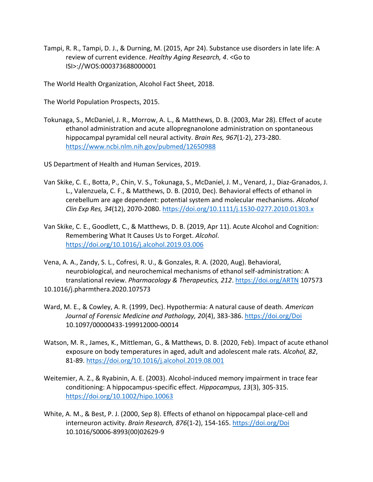Tampi, R. R., Tampi, D. J., & Durning, M. (2015, Apr 24). Substance use disorders in late life: A review of current evidence. *Healthy Aging Research, 4*. <Go to ISI>://WOS:000373688000001

The World Health Organization, Alcohol Fact Sheet, 2018.

The World Population Prospects, 2015.

Tokunaga, S., McDaniel, J. R., Morrow, A. L., & Matthews, D. B. (2003, Mar 28). Effect of acute ethanol administration and acute allopregnanolone administration on spontaneous hippocampal pyramidal cell neural activity. *Brain Res, 967*(1-2), 273-280. <https://www.ncbi.nlm.nih.gov/pubmed/12650988>

US Department of Health and Human Services, 2019.

- Van Skike, C. E., Botta, P., Chin, V. S., Tokunaga, S., McDaniel, J. M., Venard, J., Diaz-Granados, J. L., Valenzuela, C. F., & Matthews, D. B. (2010, Dec). Behavioral effects of ethanol in cerebellum are age dependent: potential system and molecular mechanisms. *Alcohol Clin Exp Res, 34*(12), 2070-2080[. https://doi.org/10.1111/j.1530-0277.2010.01303.x](https://doi.org/10.1111/j.1530-0277.2010.01303.x)
- Van Skike, C. E., Goodlett, C., & Matthews, D. B. (2019, Apr 11). Acute Alcohol and Cognition: Remembering What It Causes Us to Forget. *Alcohol*. <https://doi.org/10.1016/j.alcohol.2019.03.006>
- Vena, A. A., Zandy, S. L., Cofresi, R. U., & Gonzales, R. A. (2020, Aug). Behavioral, neurobiological, and neurochemical mechanisms of ethanol self-administration: A translational review. *Pharmacology & Therapeutics, 212*.<https://doi.org/ARTN> 107573 10.1016/j.pharmthera.2020.107573
- Ward, M. E., & Cowley, A. R. (1999, Dec). Hypothermia: A natural cause of death. *American Journal of Forensic Medicine and Pathology, 20*(4), 383-386.<https://doi.org/Doi> 10.1097/00000433-199912000-00014
- Watson, M. R., James, K., Mittleman, G., & Matthews, D. B. (2020, Feb). Impact of acute ethanol exposure on body temperatures in aged, adult and adolescent male rats. *Alcohol, 82*, 81-89[. https://doi.org/10.1016/j.alcohol.2019.08.001](https://doi.org/10.1016/j.alcohol.2019.08.001)
- Weitemier, A. Z., & Ryabinin, A. E. (2003). Alcohol-induced memory impairment in trace fear conditioning: A hippocampus-specific effect. *Hippocampus, 13*(3), 305-315. <https://doi.org/10.1002/hipo.10063>
- White, A. M., & Best, P. J. (2000, Sep 8). Effects of ethanol on hippocampal place-cell and interneuron activity. *Brain Research, 876*(1-2), 154-165[. https://doi.org/Doi](https://doi.org/Doi) 10.1016/S0006-8993(00)02629-9